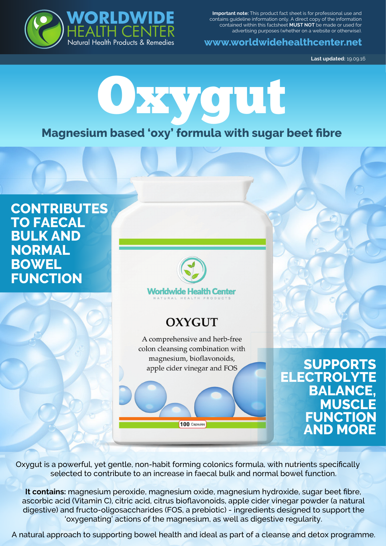

**Important note:** This product fact sheet is for professional use and contains guideline information only. A direct copy of the information contained within this factsheet **MUST NOT** be made or used for advertising purposes (whether on a website or otherwise).

**www.worldwidehealthcenter.net**

**Last updated:** 19.09.16

# Oxygut

## **Magnesium based 'oxy' formula with sugar beet fibre**

### **CONTRIBUTES TO FAECAL BULK AND NORMAL BOWEL FUNCTION**



## **OXYGUT**

A comprehensive and herb-free colon cleansing combination with magnesium, bioflavonoids, apple cider vinegar and FOS

**SUPPORTS ELECTROLYTE BALANCE, MUSCLE FUNCTION AND MORE**

Oxygut is a powerful, yet gentle, non-habit forming colonics formula, with nutrients specifically selected to contribute to an increase in faecal bulk and normal bowel function.

100 Capsules

**It contains:** magnesium peroxide, magnesium oxide, magnesium hydroxide, sugar beet fibre, ascorbic acid (Vitamin C), citric acid, citrus bioflavonoids, apple cider vinegar powder (a natural digestive) and fructo-oligosaccharides (FOS, a prebiotic) - ingredients designed to support the 'oxygenating' actions of the magnesium, as well as digestive regularity.

A natural approach to supporting bowel health and ideal as part of a cleanse and detox programme.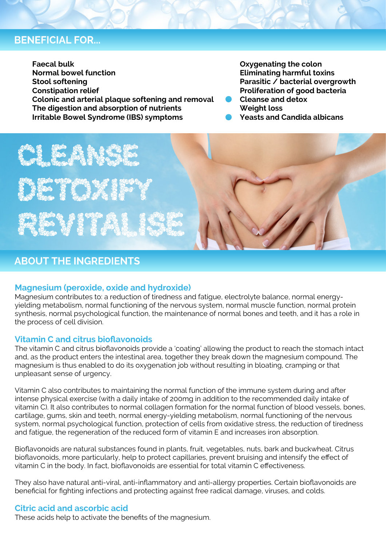#### **BENEFICIAL FOR...**

**Faecal bulk Normal bowel function Stool softening Constipation relief Colonic and arterial plaque softening and removal The digestion and absorption of nutrients Irritable Bowel Syndrome (IBS) symptoms**

**Oxygenating the colon Eliminating harmful toxins Parasitic / bacterial overgrowth Proliferation of good bacteria Cleanse and detox**

**Weight loss**

**Yeasts and Candida albicans** 

ERS EN ESPECIA E for who any test & from a **The South of School Company** 

#### **ABOUT THE INGREDIENTS**

#### **Magnesium (peroxide, oxide and hydroxide)**

Magnesium contributes to: a reduction of tiredness and fatigue, electrolyte balance, normal energyyielding metabolism, normal functioning of the nervous system, normal muscle function, normal protein synthesis, normal psychological function, the maintenance of normal bones and teeth, and it has a role in the process of cell division.

#### **Vitamin C and citrus bioflavonoids**

The vitamin C and citrus bioflavonoids provide a 'coating' allowing the product to reach the stomach intact and, as the product enters the intestinal area, together they break down the magnesium compound. The magnesium is thus enabled to do its oxygenation job without resulting in bloating, cramping or that unpleasant sense of urgency.

Vitamin C also contributes to maintaining the normal function of the immune system during and after intense physical exercise (with a daily intake of 200mg in addition to the recommended daily intake of vitamin C). It also contributes to normal collagen formation for the normal function of blood vessels, bones, cartilage, gums, skin and teeth, normal energy-yielding metabolism, normal functioning of the nervous system, normal psychological function, protection of cells from oxidative stress, the reduction of tiredness and fatigue, the regeneration of the reduced form of vitamin E and increases iron absorption.

Bioflavonoids are natural substances found in plants, fruit, vegetables, nuts, bark and buckwheat. Citrus bioflavonoids, more particularly, help to protect capillaries, prevent bruising and intensify the effect of vitamin C in the body. In fact, bioflavonoids are essential for total vitamin C effectiveness.

They also have natural anti-viral, anti-inflammatory and anti-allergy properties. Certain bioflavonoids are beneficial for fighting infections and protecting against free radical damage, viruses, and colds.

#### **Citric acid and ascorbic acid**

These acids help to activate the benefits of the magnesium.